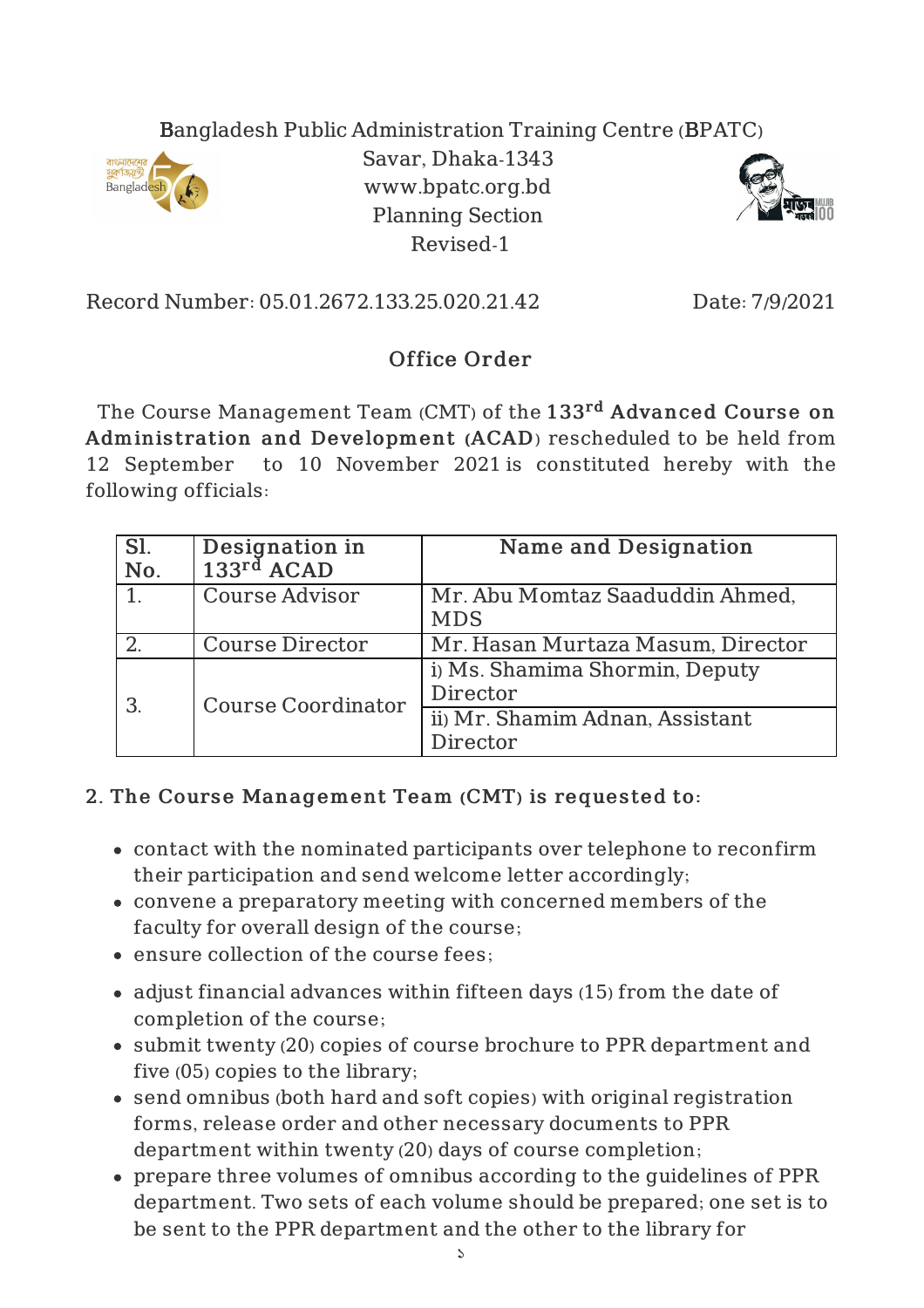## Bangladesh Public Administration Training Centre (BPATC)



Savar, Dhaka-1343 www.bpatc.org.bd Planning Section Revised-1



Record Number: 05.01.2672.133.25.020.21.42 Date: 7/9/2021

## Office Order

The Course Management Team (CMT) of the  $133^{\mathrm{rd}}$  <code>Advanced Course on</code> Adminis tration and Development (ACAD) rescheduled to be held from 12 September to 10 November 2021 is constituted hereby with the following officials:

| Sl.<br>No. | Designation in<br>$133rd$ ACAD | <b>Name and Designation</b>                   |
|------------|--------------------------------|-----------------------------------------------|
|            | <b>Course Advisor</b>          | Mr. Abu Momtaz Saaduddin Ahmed,<br><b>MDS</b> |
|            | <b>Course Director</b>         | Mr. Hasan Murtaza Masum, Director             |
| 3          | <b>Course Coordinator</b>      | i) Ms. Shamima Shormin, Deputy<br>Director    |
|            |                                | ii) Mr. Shamim Adnan, Assistant<br>Director   |

## 2. The Course Management Team (CMT) is requested to:

- contact with the nominated participants over telephone to reconfirm their participation and send welcome letter accordingly;
- convene a preparatory meeting with concerned members of the faculty for overall design of the course;
- ensure collection of the course fees;
- adjust financial advances within fifteen days (15) from the date of completion of the course;
- submit twenty (20) copies of course brochure to PPR department and five (05) copies to the library;
- send omnibus (both hard and soft copies) with original registration forms, release order and other necessary documents to PPR department within twenty (20) days of course completion;
- prepare three volumes of omnibus according to the guidelines of PPR department. Two sets of each volume should be prepared; one set is to be sent to the PPR department and the other to the library for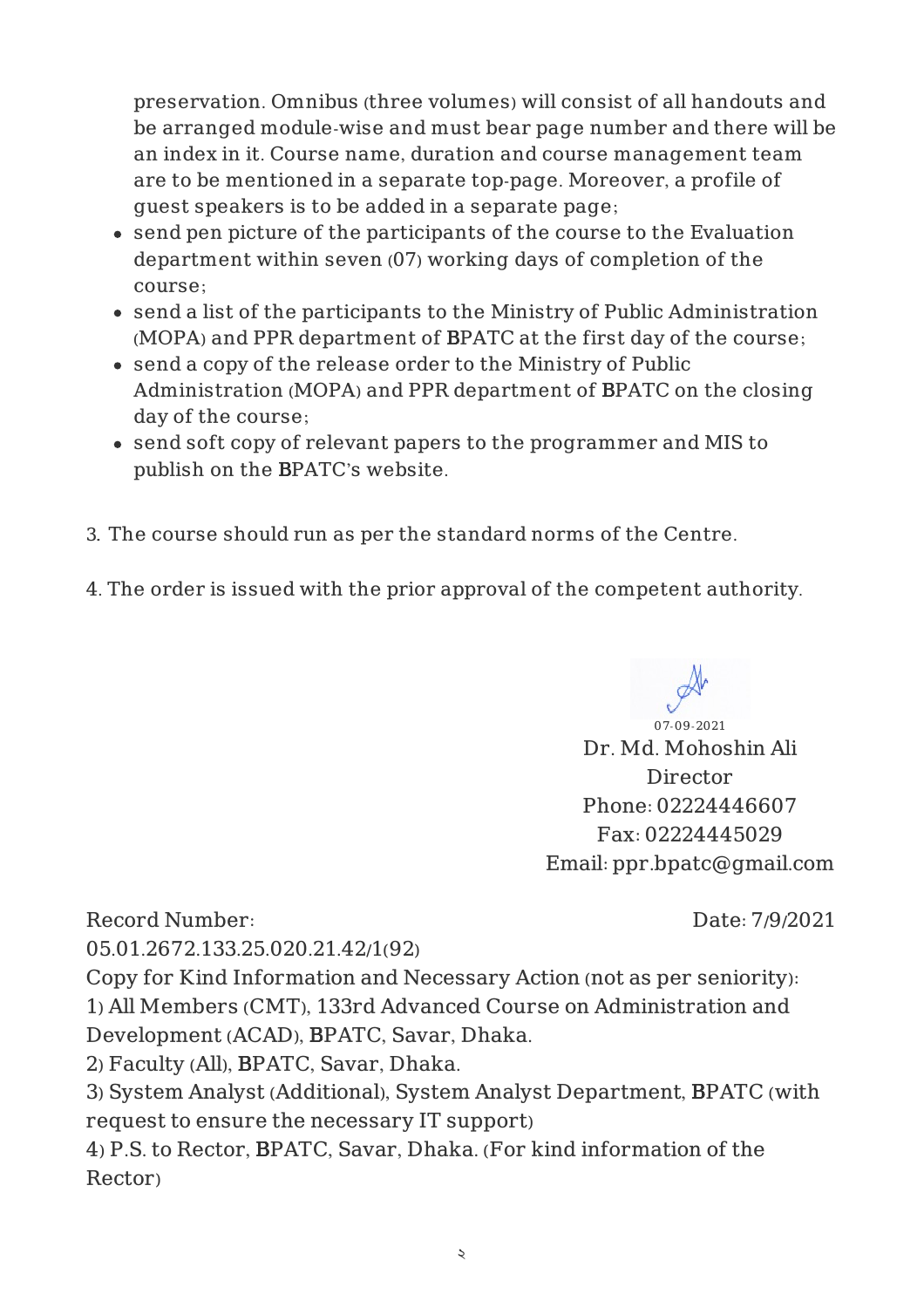preservation. Omnibus (three volumes) will consist of all handouts and be arranged module-wise and must bear page number and there will be an index in it. Course name, duration and course management team are to be mentioned in a separate top-page. Moreover, a profile of guest speakers is to be added in a separate page;

- send pen picture of the participants of the course to the Evaluation department within seven (07) working days of completion of the course;
- send a list of the participants to the Ministry of Public Administration (MOPA) and PPR department of BPATC at the first day of the course;
- send a copy of the release order to the Ministry of Public Administration (MOPA) and PPR department of BPATC on the closing day of the course;
- send soft copy of relevant papers to the programmer and MIS to publish on the BPATC's website.
- 3. The course should run as per the standard norms of the Centre.
- 4. The order is issued with the prior approval of the competent authority.

07-09-2021

Dr. Md. Mohoshin Ali Director Phone: 02224446607 Fax: 02224445029 Email: ppr.bpatc@gmail.com

Record Number:

Date: 7/9/2021

05.01.2672.133.25.020.21.42/1(92)

Copy for Kind Information and Necessary Action (not as per seniority): 1) All Members (CMT), 133rd Advanced Course on Administration and Development (ACAD), BPATC, Savar, Dhaka.

2) Faculty (All), BPATC, Savar, Dhaka.

3) System Analyst (Additional), System Analyst Department, BPATC (with request to ensure the necessary IT support)

4) P.S. to Rector, BPATC, Savar, Dhaka. (For kind information of the Rector)